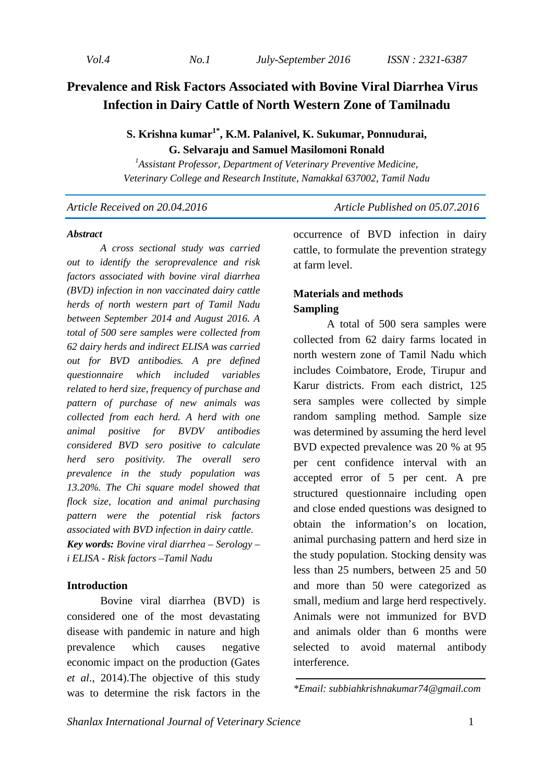*Vol.4 No.1 July-September 2016 ISSN : 2321-6387* 

# **Prevalence and Risk Factors Associated with Bovine Viral Diarrhea Virus Infection in Dairy Cattle of North Western Zone of Tamilnadu**

# **S. Krishna kumar1\*, K.M. Palanivel, K. Sukumar, Ponnudurai, G. Selvaraju and Samuel Masilomoni Ronald**

*<sup>1</sup>Assistant Professor, Department of Veterinary Preventive Medicine, Veterinary College and Research Institute, Namakkal 637002, Tamil Nadu* 

*Article Received on 20.04.2016* Article Published on 05.07.2016

#### *Abstract*

 *A cross sectional study was carried out to identify the seroprevalence and risk factors associated with bovine viral diarrhea (BVD) infection in non vaccinated dairy cattle herds of north western part of Tamil Nadu between September 2014 and August 2016. A total of 500 sere samples were collected from 62 dairy herds and indirect ELISA was carried out for BVD antibodies. A pre defined questionnaire which included variables related to herd size, frequency of purchase and pattern of purchase of new animals was collected from each herd. A herd with one animal positive for BVDV antibodies considered BVD sero positive to calculate herd sero positivity. The overall sero prevalence in the study population was 13.20%. The Chi square model showed that flock size, location and animal purchasing pattern were the potential risk factors associated with BVD infection in dairy cattle. Key words: Bovine viral diarrhea – Serology – i ELISA - Risk factors –Tamil Nadu* 

# **Introduction**

Bovine viral diarrhea (BVD) is considered one of the most devastating disease with pandemic in nature and high prevalence which causes negative economic impact on the production (Gates *et al*., 2014).The objective of this study was to determine the risk factors in the

occurrence of BVD infection in dairy cattle, to formulate the prevention strategy at farm level.

# **Materials and methods Sampling**

A total of 500 sera samples were collected from 62 dairy farms located in north western zone of Tamil Nadu which includes Coimbatore, Erode, Tirupur and Karur districts. From each district, 125 sera samples were collected by simple random sampling method. Sample size was determined by assuming the herd level BVD expected prevalence was 20 % at 95 per cent confidence interval with an accepted error of 5 per cent. A pre structured questionnaire including open and close ended questions was designed to obtain the information's on location, animal purchasing pattern and herd size in the study population. Stocking density was less than 25 numbers, between 25 and 50 and more than 50 were categorized as small, medium and large herd respectively. Animals were not immunized for BVD and animals older than 6 months were selected to avoid maternal antibody interference.

*\*Email: subbiahkrishnakumar74@gmail.com*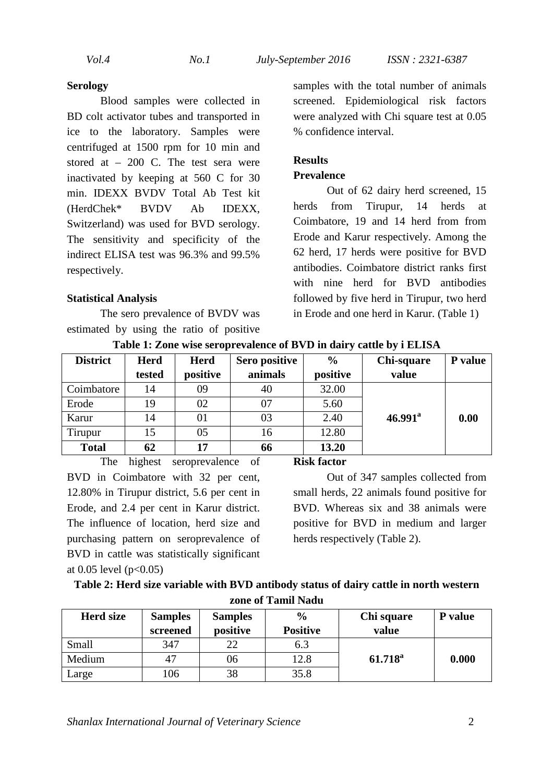#### **Serology**

 Blood samples were collected in BD colt activator tubes and transported in ice to the laboratory. Samples were centrifuged at 1500 rpm for 10 min and stored at – 200 C. The test sera were inactivated by keeping at 560 C for 30 min. IDEXX BVDV Total Ab Test kit (HerdChek\* BVDV Ab IDEXX, Switzerland) was used for BVD serology. The sensitivity and specificity of the indirect ELISA test was 96.3% and 99.5% respectively.

#### **Statistical Analysis**

The sero prevalence of BVDV was estimated by using the ratio of positive samples with the total number of animals screened. Epidemiological risk factors were analyzed with Chi square test at 0.05 % confidence interval.

### **Results**

### **Prevalence**

Out of 62 dairy herd screened, 15 herds from Tirupur, 14 herds at Coimbatore, 19 and 14 herd from from Erode and Karur respectively. Among the 62 herd, 17 herds were positive for BVD antibodies. Coimbatore district ranks first with nine herd for BVD antibodies followed by five herd in Tirupur, two herd in Erode and one herd in Karur. (Table 1)

| <b>District</b> | <b>Herd</b> | <b>Herd</b> | Sero positive | $\frac{6}{9}$ | <b>Chi-square</b>   | P value |
|-----------------|-------------|-------------|---------------|---------------|---------------------|---------|
|                 | tested      | positive    | animals       | positive      | value               |         |
| Coimbatore      | 14          | 09          | 40            | 32.00         |                     |         |
| Erode           | 19          | 02          | 07            | 5.60          |                     |         |
| Karur           | 14          | 01          | 03            | 2.40          | $46.991^{\text{a}}$ | 0.00    |
| Tirupur         | 15          | 05          | 16            | 12.80         |                     |         |
| <b>Total</b>    | 62          | 17          | 66            | 13.20         |                     |         |

**Table 1: Zone wise seroprevalence of BVD in dairy cattle by i ELISA** 

The highest seroprevalence of BVD in Coimbatore with 32 per cent, 12.80% in Tirupur district, 5.6 per cent in Erode, and 2.4 per cent in Karur district. The influence of location, herd size and purchasing pattern on seroprevalence of BVD in cattle was statistically significant at 0.05 level ( $p < 0.05$ )

#### **Risk factor**

 Out of 347 samples collected from small herds, 22 animals found positive for BVD. Whereas six and 38 animals were positive for BVD in medium and larger herds respectively (Table 2).

| Table 2: Herd size variable with BVD antibody status of dairy cattle in north western |
|---------------------------------------------------------------------------------------|
| zone of Tamil Nadu                                                                    |

| <b>Herd size</b> | <b>Samples</b><br>screened | <b>Samples</b><br>positive | $\frac{6}{6}$<br><b>Positive</b> | Chi square<br>value | P value |
|------------------|----------------------------|----------------------------|----------------------------------|---------------------|---------|
| Small            | 347                        | 22                         | 6.3                              |                     |         |
| Medium           |                            | 06                         | 12.8                             | $61.718^{\rm a}$    | 0.000   |
| Large            | 106                        | 38                         | 35.8                             |                     |         |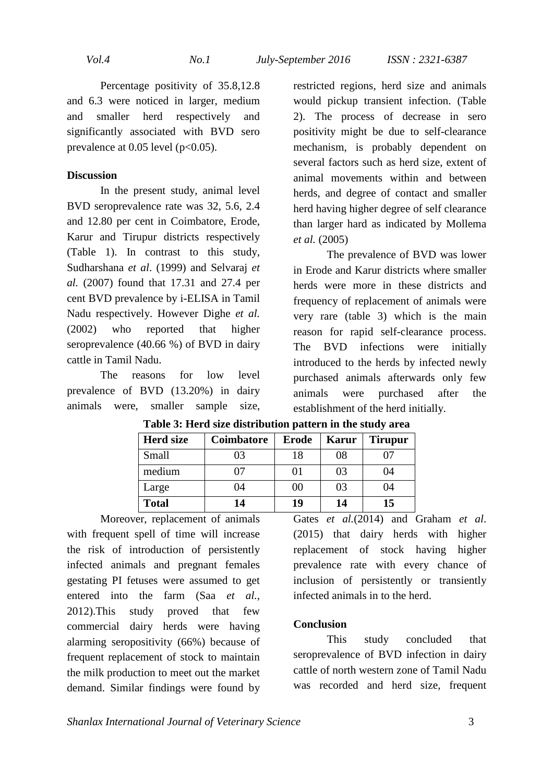*Vol.4 No.1 July-September 2016 ISSN : 2321-6387* 

Percentage positivity of 35.8,12.8 and 6.3 were noticed in larger, medium and smaller herd respectively and significantly associated with BVD sero prevalence at  $0.05$  level ( $p<0.05$ ).

### **Discussion**

 In the present study, animal level BVD seroprevalence rate was 32, 5.6, 2.4 and 12.80 per cent in Coimbatore, Erode, Karur and Tirupur districts respectively (Table 1). In contrast to this study, Sudharshana *et al*. (1999) and Selvaraj *et al.* (2007) found that 17.31 and 27.4 per cent BVD prevalence by i-ELISA in Tamil Nadu respectively. However Dighe *et al.* (2002) who reported that higher seroprevalence (40.66 %) of BVD in dairy cattle in Tamil Nadu.

The reasons for low level prevalence of BVD (13.20%) in dairy animals were, smaller sample size,

restricted regions, herd size and animals would pickup transient infection. (Table 2). The process of decrease in sero positivity might be due to self-clearance mechanism, is probably dependent on several factors such as herd size, extent of animal movements within and between herds, and degree of contact and smaller herd having higher degree of self clearance than larger hard as indicated by Mollema *et al.* (2005)

 The prevalence of BVD was lower in Erode and Karur districts where smaller herds were more in these districts and frequency of replacement of animals were very rare (table 3) which is the main reason for rapid self-clearance process. The BVD infections were initially introduced to the herds by infected newly purchased animals afterwards only few animals were purchased after the establishment of the herd initially.

| <b>Herd size</b> | Coimbatore | <b>Erode</b> | Karur | <b>Tirupur</b> |
|------------------|------------|--------------|-------|----------------|
| Small            | 03         | 18           | 08    |                |
| medium           |            | 01           | 03    | 04             |
| Large            | 04         | $00\,$       | 03    | 04             |
| <b>Total</b>     | 14         | 19           | 14    | 15             |

**Table 3: Herd size distribution pattern in the study area** 

Moreover, replacement of animals with frequent spell of time will increase the risk of introduction of persistently infected animals and pregnant females gestating PI fetuses were assumed to get entered into the farm (Saa *et al.,*  2012).This study proved that few commercial dairy herds were having alarming seropositivity (66%) because of frequent replacement of stock to maintain the milk production to meet out the market demand. Similar findings were found by

Gates *et al.*(2014) and Graham *et al*. (2015) that dairy herds with higher replacement of stock having higher prevalence rate with every chance of inclusion of persistently or transiently infected animals in to the herd.

# **Conclusion**

This study concluded that seroprevalence of BVD infection in dairy cattle of north western zone of Tamil Nadu was recorded and herd size, frequent